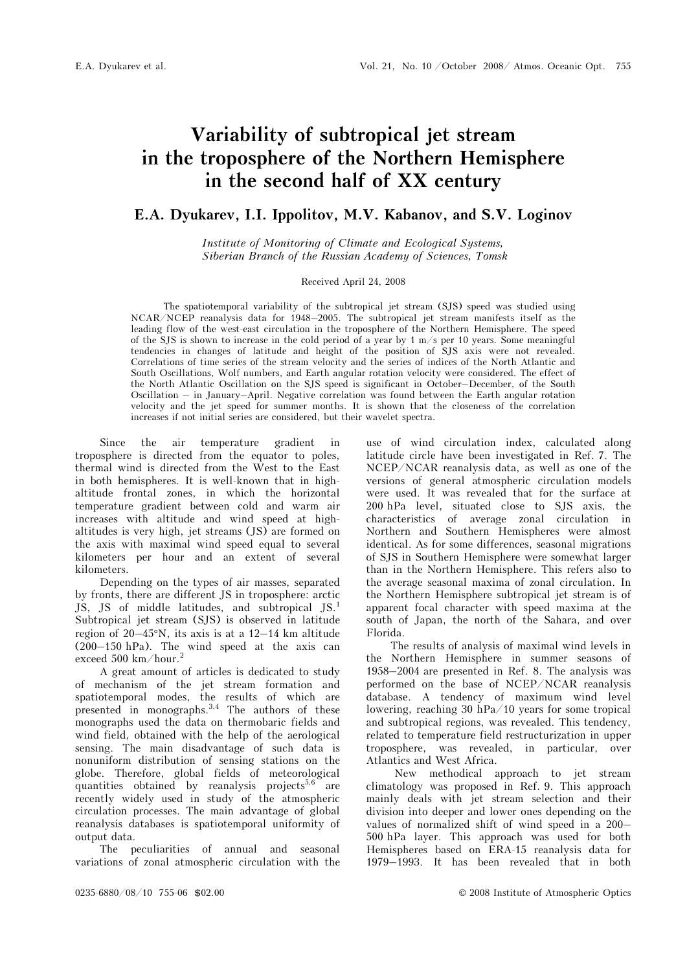use of wind circulation index, calculated along latitude circle have been investigated in Ref. 7. The NCEP/NCAR reanalysis data, as well as one of the versions of general atmospheric circulation models were used. It was revealed that for the surface at 200 hPa level, situated close to SJS axis, the characteristics of average zonal circulation in Northern and Southern Hemispheres were almost identical. As for some differences, seasonal migrations of SJS in Southern Hemisphere were somewhat larger than in the Northern Hemisphere. This refers also to the average seasonal maxima of zonal circulation. In the Northern Hemisphere subtropical jet stream is of apparent focal character with speed maxima at the south of Japan, the north of the Sahara, and over

# Variability of subtropical jet stream in the troposphere of the Northern Hemisphere in the second half of XX century

## E.A. Dyukarev, I.I. Ippolitov, M.V. Kabanov, and S.V. Loginov

Institute of Monitoring of Climate and Ecological Systems, Siberian Branch of the Russian Academy of Sciences, Tomsk

#### Received April 24, 2008

The spatiotemporal variability of the subtropical jet stream (SJS) speed was studied using NCAR/NCEP reanalysis data for 1948–2005. The subtropical jet stream manifests itself as the leading flow of the west-east circulation in the troposphere of the Northern Hemisphere. The speed of the SJS is shown to increase in the cold period of a year by 1 m/s per 10 years. Some meaningful tendencies in changes of latitude and height of the position of SJS axis were not revealed. Correlations of time series of the stream velocity and the series of indices of the North Atlantic and South Oscillations, Wolf numbers, and Earth angular rotation velocity were considered. The effect of the North Atlantic Oscillation on the SJS speed is significant in October–December, of the South Oscillation – in January–April. Negative correlation was found between the Earth angular rotation velocity and the jet speed for summer months. It is shown that the closeness of the correlation increases if not initial series are considered, but their wavelet spectra.

Since the air temperature gradient in troposphere is directed from the equator to poles, thermal wind is directed from the West to the East in both hemispheres. It is well-known that in highaltitude frontal zones, in which the horizontal temperature gradient between cold and warm air increases with altitude and wind speed at highaltitudes is very high, jet streams (JS) are formed on the axis with maximal wind speed equal to several kilometers per hour and an extent of several kilometers.

Depending on the types of air masses, separated by fronts, there are different JS in troposphere: arctic JS, JS of middle latitudes, and subtropical JS.<sup>1</sup> Subtropical jet stream (SJS) is observed in latitude region of 20–45°N, its axis is at a 12–14 km altitude (200–150 hPa). The wind speed at the axis can exceed 500 km/hour.<sup>2</sup>

A great amount of articles is dedicated to study of mechanism of the jet stream formation and spatiotemporal modes, the results of which are presented in monographs.<sup>3,4</sup> The authors of these monographs used the data on thermobaric fields and wind field, obtained with the help of the aerological sensing. The main disadvantage of such data is nonuniform distribution of sensing stations on the globe. Therefore, global fields of meteorological quantities obtained by reanalysis projects<sup>5,6</sup> are recently widely used in study of the atmospheric circulation processes. The main advantage of global reanalysis databases is spatiotemporal uniformity of output data.

The peculiarities of annual and seasonal variations of zonal atmospheric circulation with the

Atlantics and West Africa. New methodical approach to jet stream climatology was proposed in Ref. 9. This approach

Florida.

mainly deals with jet stream selection and their division into deeper and lower ones depending on the values of normalized shift of wind speed in a 200– 500 hPa layer. This approach was used for both Hemispheres based on ERA-15 reanalysis data for

The results of analysis of maximal wind levels in the Northern Hemisphere in summer seasons of 1958–2004 are presented in Ref. 8. The analysis was performed on the base of NCEP/NCAR reanalysis database. A tendency of maximum wind level lowering, reaching 30 hPa/10 years for some tropical and subtropical regions, was revealed. This tendency, related to temperature field restructurization in upper troposphere, was revealed, in particular, over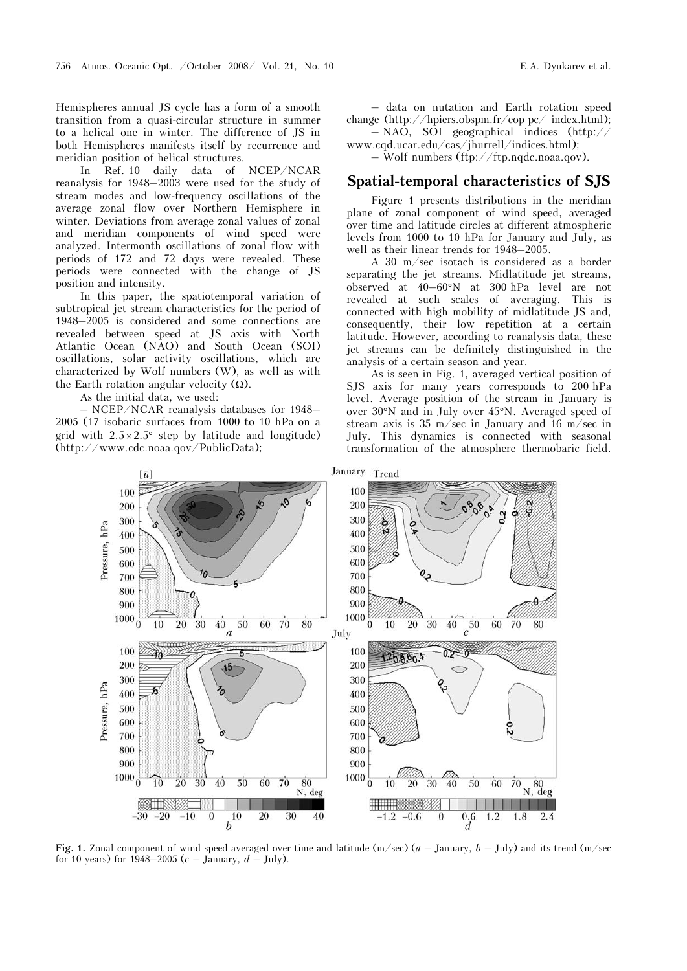Hemispheres annual JS cycle has a form of a smooth transition from a quasi-circular structure in summer to a helical one in winter. The difference of JS in both Hemispheres manifests itself by recurrence and meridian position of helical structures.

In Ref. 10 daily data of NCEP/NCAR reanalysis for 1948–2003 were used for the study of stream modes and low-frequency oscillations of the average zonal flow over Northern Hemisphere in winter. Deviations from average zonal values of zonal and meridian components of wind speed were analyzed. Intermonth oscillations of zonal flow with periods of 172 and 72 days were revealed. These periods were connected with the change of JS position and intensity.

In this paper, the spatiotemporal variation of subtropical jet stream characteristics for the period of 1948–2005 is considered and some connections are revealed between speed at JS axis with North Atlantic Ocean (NAO) and South Ocean (SOI) oscillations, solar activity oscillations, which are characterized by Wolf numbers (W), as well as with the Earth rotation angular velocity  $(\Omega)$ .

As the initial data, we used:

 $-$  NCEP/NCAR reanalysis databases for 1948– 2005 (17 isobaric surfaces from 1000 to 10 hPa on a grid with  $2.5 \times 2.5^{\circ}$  step by latitude and longitude) (http://www.cdc.noaa.qov/PublicData);

– data on nutation and Earth rotation speed change (http://hpiers.obspm.fr/eop-pc/ index.html); – NAO, SOI geographical indices (http://

www.cqd.ucar.edu/cas/jhurrell/indices.html); – Wolf numbers (ftp://ftp.nqdc.noaa.qov).

#### Spatial-temporal characteristics of SJS

Figure 1 presents distributions in the meridian plane of zonal component of wind speed, averaged over time and latitude circles at different atmospheric levels from 1000 to 10 hPa for January and July, as well as their linear trends for 1948–2005.

A 30 m/sec isotach is considered as a border separating the jet streams. Midlatitude jet streams, observed at 40–60°N at 300 hPa level are not revealed at such scales of averaging. This is connected with high mobility of midlatitude JS and, consequently, their low repetition at a certain latitude. However, according to reanalysis data, these jet streams can be definitely distinguished in the analysis of a certain season and year.

As is seen in Fig. 1, averaged vertical position of SJS axis for many years corresponds to 200 hPa level. Average position of the stream in January is over 30°N and in July over 45°N. Averaged speed of stream axis is 35 m/sec in January and 16 m/sec in July. This dynamics is connected with seasonal transformation of the atmosphere thermobaric field.



Fig. 1. Zonal component of wind speed averaged over time and latitude  $(m/sec)$  ( $a$  – January,  $b$  – July) and its trend  $(m/sec)$ for 10 years) for 1948–2005 ( $c$  – January,  $d$  – July).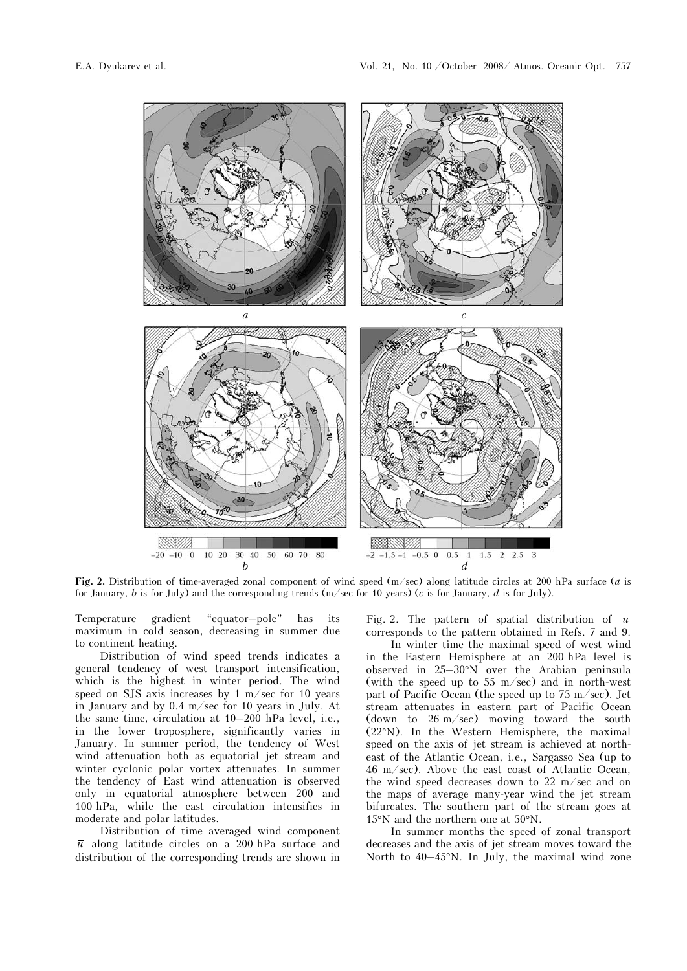

Fig. 2. Distribution of time-averaged zonal component of wind speed  $(m/sec)$  along latitude circles at 200 hPa surface (*a* is for January, b is for July) and the corresponding trends ( $m/sec$  for 10 years) (c is for January, d is for July).

Temperature gradient "equator–pole" has its maximum in cold season, decreasing in summer due to continent heating.

Distribution of wind speed trends indicates a general tendency of west transport intensification, which is the highest in winter period. The wind speed on SJS axis increases by 1 m/sec for 10 years in January and by 0.4 m/sec for 10 years in July. At the same time, circulation at 10–200 hPa level, i.e., in the lower troposphere, significantly varies in January. In summer period, the tendency of West wind attenuation both as equatorial jet stream and winter cyclonic polar vortex attenuates. In summer the tendency of East wind attenuation is observed only in equatorial atmosphere between 200 and 100 hPa, while the east circulation intensifies in moderate and polar latitudes.

Distribution of time averaged wind component  $\bar{u}$  along latitude circles on a 200 hPa surface and distribution of the corresponding trends are shown in Fig. 2. The pattern of spatial distribution of  $\bar{u}$ corresponds to the pattern obtained in Refs. 7 and 9.

 In winter time the maximal speed of west wind in the Eastern Hemisphere at an 200 hPa level is observed in 25–30°N over the Arabian peninsula (with the speed up to 55 m/sec) and in north-west part of Pacific Ocean (the speed up to  $75 \text{ m/sec}$ ). Jet stream attenuates in eastern part of Pacific Ocean (down to 26 m/sec) moving toward the south (22°N). In the Western Hemisphere, the maximal speed on the axis of jet stream is achieved at northeast of the Atlantic Ocean, i.e., Sargasso Sea (up to 46 m/sec). Above the east coast of Atlantic Ocean, the wind speed decreases down to 22 m/sec and on the maps of average many-year wind the jet stream bifurcates. The southern part of the stream goes at 15°N and the northern one at 50°N.

In summer months the speed of zonal transport decreases and the axis of jet stream moves toward the North to 40–45°N. In July, the maximal wind zone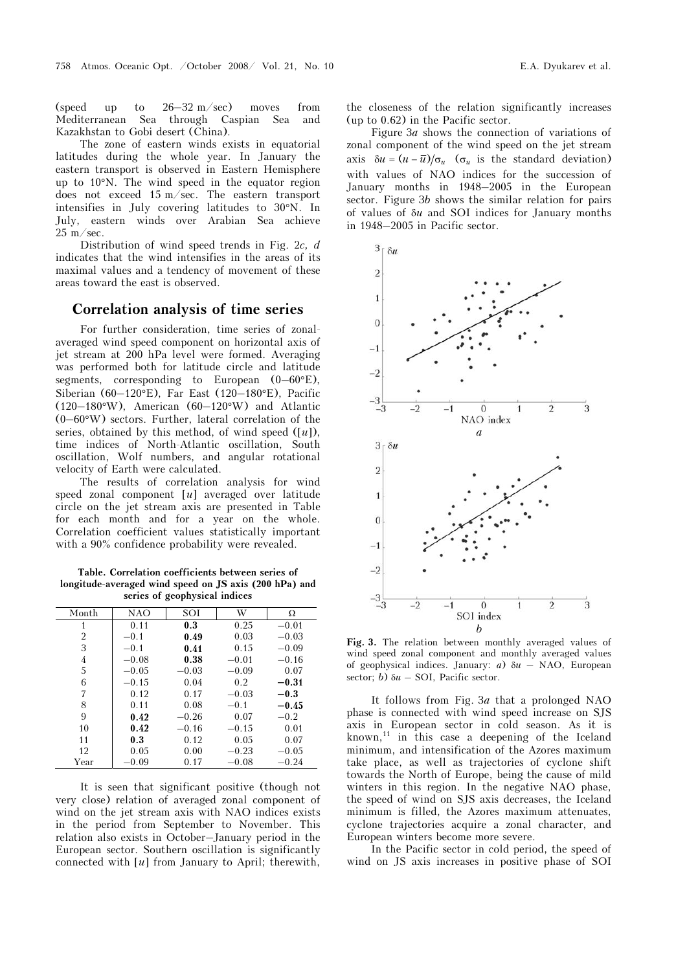(speed up to 26–32 m/sec) moves from Mediterranean Sea through Caspian Sea and Kazakhstan to Gobi desert (China).

The zone of eastern winds exists in equatorial latitudes during the whole year. In January the eastern transport is observed in Eastern Hemisphere up to 10°N. The wind speed in the equator region does not exceed 15 m/sec. The eastern transport intensifies in July covering latitudes to 30°N. In July, eastern winds over Arabian Sea achieve  $25 \text{ m/sec}$ .

Distribution of wind speed trends in Fig. 2c, d indicates that the wind intensifies in the areas of its maximal values and a tendency of movement of these areas toward the east is observed.

### Correlation analysis of time series

For further consideration, time series of zonalaveraged wind speed component on horizontal axis of jet stream at 200 hPa level were formed. Averaging was performed both for latitude circle and latitude segments, corresponding to European  $(0-60)$ °E), Siberian (60–120°E), Far East (120–180°E), Pacific (120–180°W), American (60–120°W) and Atlantic (0–60°W) sectors. Further, lateral correlation of the series, obtained by this method, of wind speed  $([u])$ , time indices of North-Atlantic oscillation, South oscillation, Wolf numbers, and angular rotational velocity of Earth were calculated.

The results of correlation analysis for wind speed zonal component [u] averaged over latitude circle on the jet stream axis are presented in Table for each month and for a year on the whole. Correlation coefficient values statistically important with a 90% confidence probability were revealed.

Table. Correlation coefficients between series of longitude-averaged wind speed on JS axis (200 hPa) and series of geophysical indices

| Month          | NAO     | SOI     | W       | Ω       |
|----------------|---------|---------|---------|---------|
| 1              | 0.11    | 0.3     | 0.25    | $-0.01$ |
| $\overline{2}$ | $-0.1$  | 0.49    | 0.03    | $-0.03$ |
| 3              | $-0.1$  | 0.41    | 0.15    | $-0.09$ |
| 4              | $-0.08$ | 0.38    | $-0.01$ | $-0.16$ |
| 5              | $-0.05$ | $-0.03$ | $-0.09$ | 0.07    |
| 6              | $-0.15$ | 0.04    | 0.2     | $-0.31$ |
| 7              | 0.12    | 0.17    | $-0.03$ | $-0.3$  |
| 8              | 0.11    | 0.08    | $-0.1$  | $-0.45$ |
| 9              | 0.42    | $-0.26$ | 0.07    | $-0.2$  |
| 10             | 0.42    | $-0.16$ | $-0.15$ | 0.01    |
| 11             | 0.3     | 0.12    | 0.05    | 0.07    |
| 12             | 0.05    | 0.00    | $-0.23$ | $-0.05$ |
| Year           | $-0.09$ | 0.17    | $-0.08$ | $-0.24$ |

It is seen that significant positive (though not very close) relation of averaged zonal component of wind on the jet stream axis with NAO indices exists in the period from September to November. This relation also exists in October–January period in the European sector. Southern oscillation is significantly connected with [u] from January to April; therewith, the closeness of the relation significantly increases (up to 0.62) in the Pacific sector.

Figure 3a shows the connection of variations of zonal component of the wind speed on the jet stream axis  $\delta u = (u - \overline{u})/\sigma_u$  ( $\sigma_u$  is the standard deviation) with values of NAO indices for the succession of January months in 1948–2005 in the European sector. Figure 3b shows the similar relation for pairs of values of δu and SOI indices for January months in 1948–2005 in Pacific sector.



Fig. 3. The relation between monthly averaged values of wind speed zonal component and monthly averaged values of geophysical indices. January:  $a)$   $\delta u$  – NAO, European sector; b)  $\delta u$  – SOI, Pacific sector.

It follows from Fig. 3a that a prolonged NAO phase is connected with wind speed increase on SJS axis in European sector in cold season. As it is  $known, <sup>11</sup>$  in this case a deepening of the Iceland minimum, and intensification of the Azores maximum take place, as well as trajectories of cyclone shift towards the North of Europe, being the cause of mild winters in this region. In the negative NAO phase, the speed of wind on SJS axis decreases, the Iceland minimum is filled, the Azores maximum attenuates, cyclone trajectories acquire a zonal character, and European winters become more severe.

In the Pacific sector in cold period, the speed of wind on JS axis increases in positive phase of SOI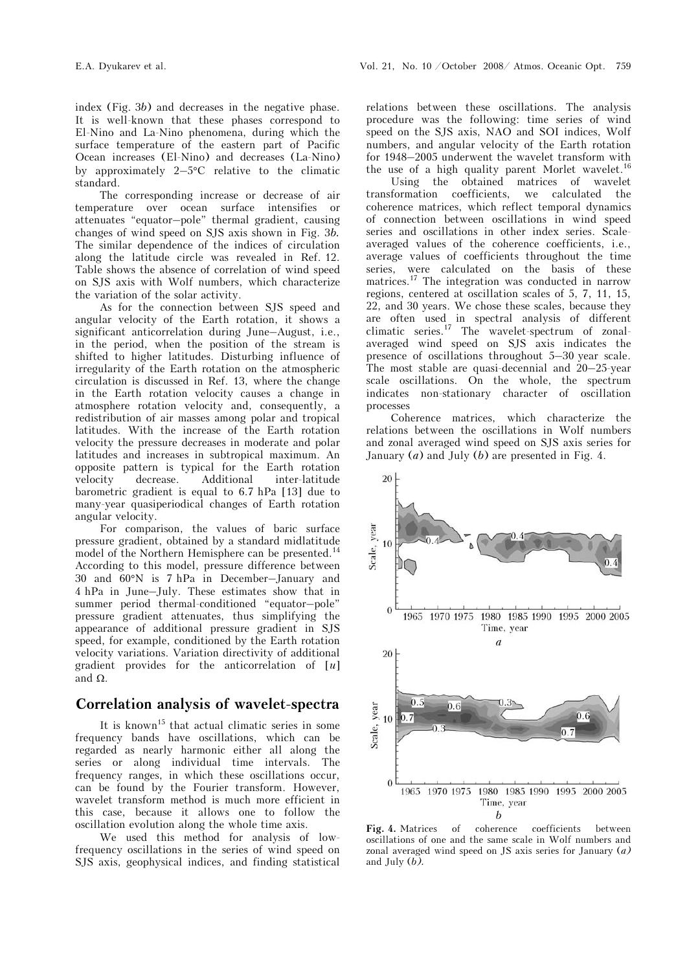index (Fig. 3b) and decreases in the negative phase. It is well-known that these phases correspond to El-Nino and La-Nino phenomena, during which the surface temperature of the eastern part of Pacific Ocean increases (El-Nino) and decreases (La-Nino) by approximately  $2-5$ °C relative to the climatic standard.

The corresponding increase or decrease of air temperature over ocean surface intensifies or attenuates "equator–pole" thermal gradient, causing changes of wind speed on SJS axis shown in Fig. 3b. The similar dependence of the indices of circulation along the latitude circle was revealed in Ref. 12. Table shows the absence of correlation of wind speed on SJS axis with Wolf numbers, which characterize the variation of the solar activity.

As for the connection between SJS speed and angular velocity of the Earth rotation, it shows a significant anticorrelation during June–August, i.e., in the period, when the position of the stream is shifted to higher latitudes. Disturbing influence of irregularity of the Earth rotation on the atmospheric circulation is discussed in Ref. 13, where the change in the Earth rotation velocity causes a change in atmosphere rotation velocity and, consequently, a redistribution of air masses among polar and tropical latitudes. With the increase of the Earth rotation velocity the pressure decreases in moderate and polar latitudes and increases in subtropical maximum. An opposite pattern is typical for the Earth rotation velocity decrease. Additional inter-latitude barometric gradient is equal to 6.7 hPa [13] due to many-year quasiperiodical changes of Earth rotation angular velocity.

For comparison, the values of baric surface pressure gradient, obtained by a standard midlatitude model of the Northern Hemisphere can be presented.<sup>14</sup> According to this model, pressure difference between 30 and 60°N is 7 hPa in December–January and 4 hPa in June–July. These estimates show that in summer period thermal-conditioned "equator–pole" pressure gradient attenuates, thus simplifying the appearance of additional pressure gradient in SJS speed, for example, conditioned by the Earth rotation velocity variations. Variation directivity of additional gradient provides for the anticorrelation of  $[u]$ and  $Ω$ .

## Correlation analysis of wavelet-spectra

It is known<sup>15</sup> that actual climatic series in some frequency bands have oscillations, which can be regarded as nearly harmonic either all along the series or along individual time intervals. The frequency ranges, in which these oscillations occur, can be found by the Fourier transform. However, wavelet transform method is much more efficient in this case, because it allows one to follow the oscillation evolution along the whole time axis.

We used this method for analysis of lowfrequency oscillations in the series of wind speed on SJS axis, geophysical indices, and finding statistical relations between these oscillations. The analysis procedure was the following: time series of wind speed on the SJS axis, NAO and SOI indices, Wolf numbers, and angular velocity of the Earth rotation for 1948–2005 underwent the wavelet transform with the use of a high quality parent Morlet wavelet.<sup>16</sup>

 Using the obtained matrices of wavelet transformation coefficients, we calculated the coherence matrices, which reflect temporal dynamics of connection between oscillations in wind speed series and oscillations in other index series. Scaleaveraged values of the coherence coefficients, i.e., average values of coefficients throughout the time series, were calculated on the basis of these matrices.<sup>17</sup> The integration was conducted in narrow regions, centered at oscillation scales of 5, 7, 11, 15, 22, and 30 years. We chose these scales, because they are often used in spectral analysis of different climatic series.<sup>17</sup> The wavelet-spectrum of zonalaveraged wind speed on SJS axis indicates the presence of oscillations throughout 5–30 year scale. The most stable are quasi-decennial and 20–25-year scale oscillations. On the whole, the spectrum indicates non-stationary character of oscillation processes

Coherence matrices, which characterize the relations between the oscillations in Wolf numbers and zonal averaged wind speed on SJS axis series for January  $(a)$  and July  $(b)$  are presented in Fig. 4.



Fig. 4. Matrices of coherence coefficients between oscillations of one and the same scale in Wolf numbers and zonal averaged wind speed on JS axis series for January  $(a)$ and July (b).